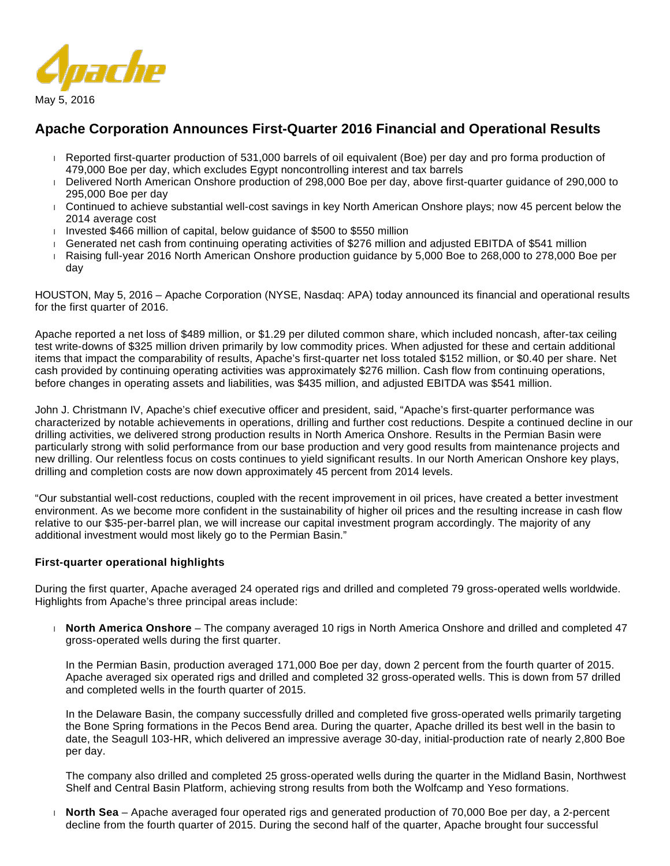

# **Apache Corporation Announces First-Quarter 2016 Financial and Operational Results**

- Reported first-quarter production of 531,000 barrels of oil equivalent (Boe) per day and pro forma production of 479,000 Boe per day, which excludes Egypt noncontrolling interest and tax barrels
- Delivered North American Onshore production of 298,000 Boe per day, above first-quarter guidance of 290,000 to 295,000 Boe per day
- Continued to achieve substantial well-cost savings in key North American Onshore plays; now 45 percent below the 2014 average cost
- Invested  $$466$  million of capital, below guidance of  $$500$  to  $$550$  million
- Generated net cash from continuing operating activities of \$276 million and adjusted EBITDA of \$541 million
- Raising full-year 2016 North American Onshore production guidance by 5,000 Boe to 268,000 to 278,000 Boe per day

HOUSTON, May 5, 2016 – Apache Corporation (NYSE, Nasdaq: APA) today announced its financial and operational results for the first quarter of 2016.

Apache reported a net loss of \$489 million, or \$1.29 per diluted common share, which included noncash, after-tax ceiling test write-downs of \$325 million driven primarily by low commodity prices. When adjusted for these and certain additional items that impact the comparability of results, Apache's first-quarter net loss totaled \$152 million, or \$0.40 per share. Net cash provided by continuing operating activities was approximately \$276 million. Cash flow from continuing operations, before changes in operating assets and liabilities, was \$435 million, and adjusted EBITDA was \$541 million.

John J. Christmann IV, Apache's chief executive officer and president, said, "Apache's first-quarter performance was characterized by notable achievements in operations, drilling and further cost reductions. Despite a continued decline in our drilling activities, we delivered strong production results in North America Onshore. Results in the Permian Basin were particularly strong with solid performance from our base production and very good results from maintenance projects and new drilling. Our relentless focus on costs continues to yield significant results. In our North American Onshore key plays, drilling and completion costs are now down approximately 45 percent from 2014 levels.

"Our substantial well-cost reductions, coupled with the recent improvement in oil prices, have created a better investment environment. As we become more confident in the sustainability of higher oil prices and the resulting increase in cash flow relative to our \$35-per-barrel plan, we will increase our capital investment program accordingly. The majority of any additional investment would most likely go to the Permian Basin."

# **First-quarter operational highlights**

During the first quarter, Apache averaged 24 operated rigs and drilled and completed 79 gross-operated wells worldwide. Highlights from Apache's three principal areas include:

 **North America Onshore** – The company averaged 10 rigs in North America Onshore and drilled and completed 47 gross-operated wells during the first quarter.

In the Permian Basin, production averaged 171,000 Boe per day, down 2 percent from the fourth quarter of 2015. Apache averaged six operated rigs and drilled and completed 32 gross-operated wells. This is down from 57 drilled and completed wells in the fourth quarter of 2015.

In the Delaware Basin, the company successfully drilled and completed five gross-operated wells primarily targeting the Bone Spring formations in the Pecos Bend area. During the quarter, Apache drilled its best well in the basin to date, the Seagull 103-HR, which delivered an impressive average 30-day, initial-production rate of nearly 2,800 Boe per day.

The company also drilled and completed 25 gross-operated wells during the quarter in the Midland Basin, Northwest Shelf and Central Basin Platform, achieving strong results from both the Wolfcamp and Yeso formations.

 **North Sea** – Apache averaged four operated rigs and generated production of 70,000 Boe per day, a 2-percent decline from the fourth quarter of 2015. During the second half of the quarter, Apache brought four successful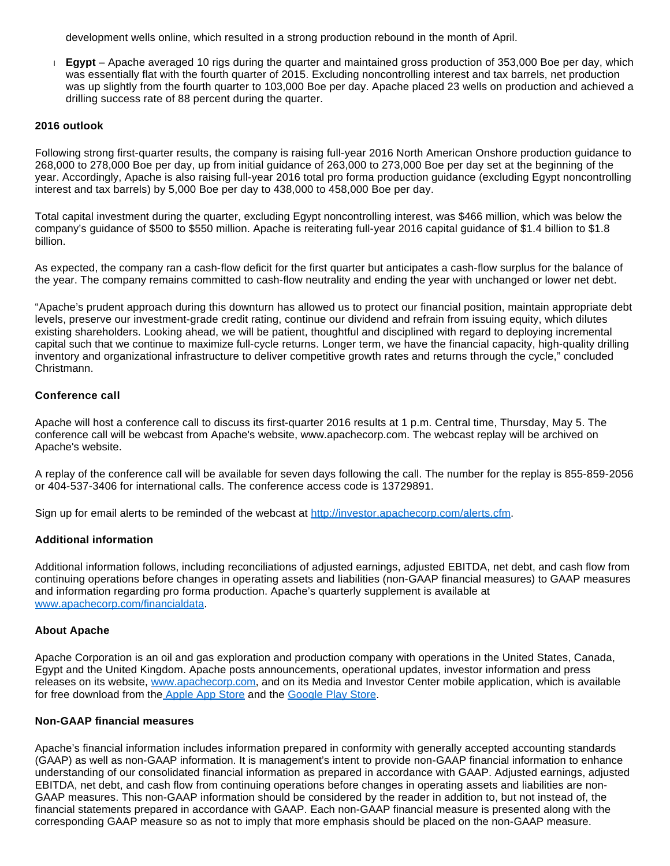development wells online, which resulted in a strong production rebound in the month of April.

 **Egypt** – Apache averaged 10 rigs during the quarter and maintained gross production of 353,000 Boe per day, which was essentially flat with the fourth quarter of 2015. Excluding noncontrolling interest and tax barrels, net production was up slightly from the fourth quarter to 103,000 Boe per day. Apache placed 23 wells on production and achieved a drilling success rate of 88 percent during the quarter.

## **2016 outlook**

Following strong first-quarter results, the company is raising full-year 2016 North American Onshore production guidance to 268,000 to 278,000 Boe per day, up from initial guidance of 263,000 to 273,000 Boe per day set at the beginning of the year. Accordingly, Apache is also raising full-year 2016 total pro forma production guidance (excluding Egypt noncontrolling interest and tax barrels) by 5,000 Boe per day to 438,000 to 458,000 Boe per day.

Total capital investment during the quarter, excluding Egypt noncontrolling interest, was \$466 million, which was below the company's guidance of \$500 to \$550 million. Apache is reiterating full-year 2016 capital guidance of \$1.4 billion to \$1.8 billion.

As expected, the company ran a cash-flow deficit for the first quarter but anticipates a cash-flow surplus for the balance of the year. The company remains committed to cash-flow neutrality and ending the year with unchanged or lower net debt.

"Apache's prudent approach during this downturn has allowed us to protect our financial position, maintain appropriate debt levels, preserve our investment-grade credit rating, continue our dividend and refrain from issuing equity, which dilutes existing shareholders. Looking ahead, we will be patient, thoughtful and disciplined with regard to deploying incremental capital such that we continue to maximize full-cycle returns. Longer term, we have the financial capacity, high-quality drilling inventory and organizational infrastructure to deliver competitive growth rates and returns through the cycle," concluded Christmann.

## **Conference call**

Apache will host a conference call to discuss its first-quarter 2016 results at 1 p.m. Central time, Thursday, May 5. The conference call will be webcast from Apache's website, www.apachecorp.com. The webcast replay will be archived on Apache's website.

A replay of the conference call will be available for seven days following the call. The number for the replay is 855-859-2056 or 404-537-3406 for international calls. The conference access code is 13729891.

Sign up for email alerts to be reminded of the webcast at [http://investor.apachecorp.com/alerts.cfm.](http://investor.apachecorp.com/alerts.cfm)

## **Additional information**

Additional information follows, including reconciliations of adjusted earnings, adjusted EBITDA, net debt, and cash flow from continuing operations before changes in operating assets and liabilities (non-GAAP financial measures) to GAAP measures and information regarding pro forma production. Apache's quarterly supplement is available at [www.apachecorp.com/financialdata.](http://www.apachecorp.com/financialdata)

#### **About Apache**

Apache Corporation is an oil and gas exploration and production company with operations in the United States, Canada, Egypt and the United Kingdom. Apache posts announcements, operational updates, investor information and press releases on its website, [www.apachecorp.com,](http://www.apachecorp.com/) and on its Media and Investor Center mobile application, which is available for free download from the [Apple App Store](https://itunes.apple.com/us/app/apache-media-investor-center/id627942844?ls=1&mt=8) and the [Google Play Store.](https://play.google.com/store/apps/details?id=com.apachecorp.investormedia)

# **Non-GAAP financial measures**

Apache's financial information includes information prepared in conformity with generally accepted accounting standards (GAAP) as well as non-GAAP information. It is management's intent to provide non-GAAP financial information to enhance understanding of our consolidated financial information as prepared in accordance with GAAP. Adjusted earnings, adjusted EBITDA, net debt, and cash flow from continuing operations before changes in operating assets and liabilities are non-GAAP measures. This non-GAAP information should be considered by the reader in addition to, but not instead of, the financial statements prepared in accordance with GAAP. Each non-GAAP financial measure is presented along with the corresponding GAAP measure so as not to imply that more emphasis should be placed on the non-GAAP measure.